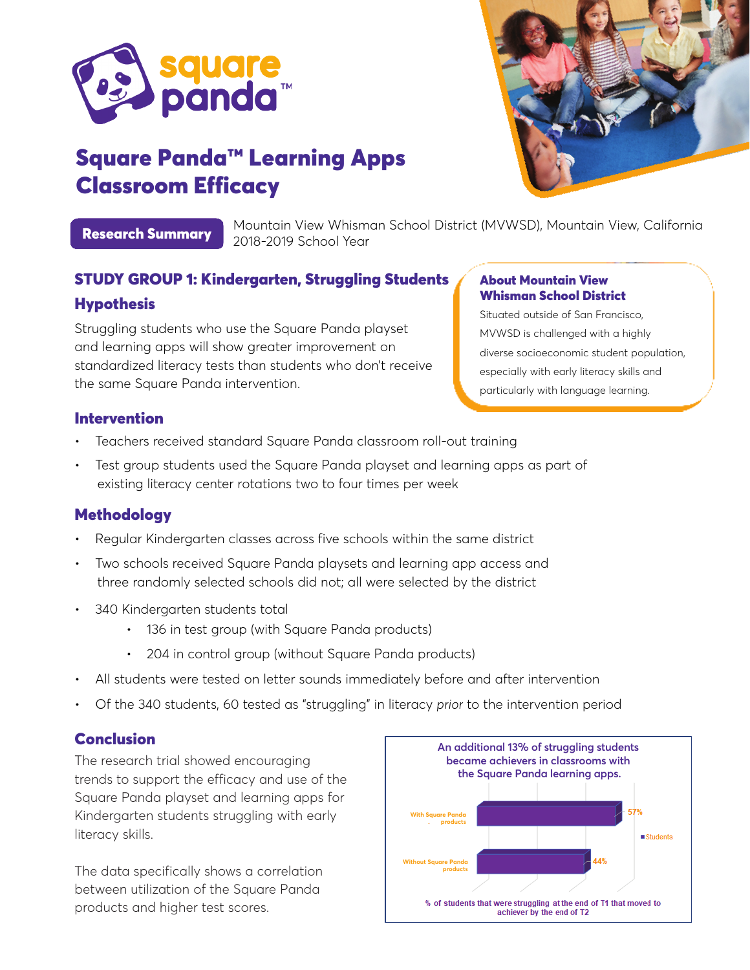

# Square Panda™️ Learning Apps Classroom Efficacy



Research Summary

Mountain View Whisman School District (MVWSD), Mountain View, California 2018-2019 School Year

# STUDY GROUP 1: Kindergarten, Struggling Students **Hypothesis**

Struggling students who use the Square Panda playset and learning apps will show greater improvement on standardized literacy tests than students who don't receive the same Square Panda intervention.

#### About Mountain View Whisman School District

Situated outside of San Francisco, MVWSD is challenged with a highly diverse socioeconomic student population, especially with early literacy skills and particularly with language learning.

## Intervention

- Teachers received standard Square Panda classroom roll-out training
- Test group students used the Square Panda playset and learning apps as part of existing literacy center rotations two to four times per week

## Methodology

- Regular Kindergarten classes across five schools within the same district
- Two schools received Square Panda playsets and learning app access and three randomly selected schools did not; all were selected by the district
- 340 Kindergarten students total
	- 136 in test group (with Square Panda products)
	- 204 in control group (without Square Panda products)
- All students were tested on letter sounds immediately before and after intervention
- Of the 340 students, 60 tested as "struggling" in literacy *prior* to the intervention period

## **Conclusion**

The research trial showed encouraging trends to support the efficacy and use of the Square Panda playset and learning apps for Kindergarten students struggling with early literacy skills.

The data specifically shows a correlation between utilization of the Square Panda products and higher test scores.